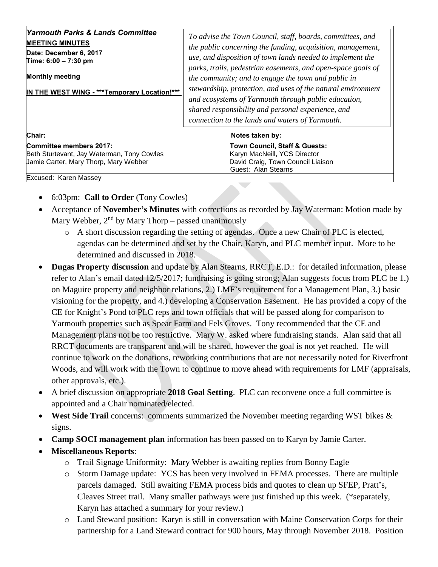|  | <b>Yarmouth Parks &amp; Lands Committee</b><br><b>MEETING MINUTES</b><br>Date: December 6, 2017<br>Time: 6:00 - 7:30 pm<br><b>Monthly meeting</b><br>IN THE WEST WING - *** Temporary Location!*** | To advise the Town Council, staff, boards, committees, and<br>the public concerning the funding, acquisition, management,<br>use, and disposition of town lands needed to implement the<br>parks, trails, pedestrian easements, and open-space goals of<br>the community; and to engage the town and public in<br>stewardship, protection, and uses of the natural environment<br>and ecosystems of Yarmouth through public education,<br>shared responsibility and personal experience, and<br>connection to the lands and waters of Yarmouth. |
|--|----------------------------------------------------------------------------------------------------------------------------------------------------------------------------------------------------|-------------------------------------------------------------------------------------------------------------------------------------------------------------------------------------------------------------------------------------------------------------------------------------------------------------------------------------------------------------------------------------------------------------------------------------------------------------------------------------------------------------------------------------------------|
|--|----------------------------------------------------------------------------------------------------------------------------------------------------------------------------------------------------|-------------------------------------------------------------------------------------------------------------------------------------------------------------------------------------------------------------------------------------------------------------------------------------------------------------------------------------------------------------------------------------------------------------------------------------------------------------------------------------------------------------------------------------------------|

| Chair:                                     | Notes taken by:                   |  |
|--------------------------------------------|-----------------------------------|--|
| Committee members 2017:                    | Town Council, Staff & Guests:     |  |
| Beth Sturtevant, Jay Waterman, Tony Cowles | Karyn MacNeill, YCS Director      |  |
| Jamie Carter, Mary Thorp, Mary Webber      | David Craig, Town Council Liaison |  |
|                                            | Guest: Alan Stearns               |  |
| Excused: Karen Massey                      |                                   |  |

- 6:03pm: **Call to Order** (Tony Cowles)
- Acceptance of **November's Minutes** with corrections as recorded by Jay Waterman: Motion made by Mary Webber,  $2<sup>nd</sup>$  by Mary Thorp – passed unanimously
	- o A short discussion regarding the setting of agendas. Once a new Chair of PLC is elected, agendas can be determined and set by the Chair, Karyn, and PLC member input. More to be determined and discussed in 2018.
- **Dugas Property discussion** and update by Alan Stearns, RRCT, E.D.: for detailed information, please refer to Alan's email dated 12/5/2017; fundraising is going strong; Alan suggests focus from PLC be 1.) on Maguire property and neighbor relations, 2.) LMF's requirement for a Management Plan, 3.) basic visioning for the property, and 4.) developing a Conservation Easement. He has provided a copy of the CE for Knight's Pond to PLC reps and town officials that will be passed along for comparison to Yarmouth properties such as Spear Farm and Fels Groves. Tony recommended that the CE and Management plans not be too restrictive. Mary W. asked where fundraising stands. Alan said that all RRCT documents are transparent and will be shared, however the goal is not yet reached. He will continue to work on the donations, reworking contributions that are not necessarily noted for Riverfront Woods, and will work with the Town to continue to move ahead with requirements for LMF (appraisals, other approvals, etc.).
- A brief discussion on appropriate **2018 Goal Setting**. PLC can reconvene once a full committee is appointed and a Chair nominated/elected.
- **West Side Trail** concerns: comments summarized the November meeting regarding WST bikes & signs.
- **Camp SOCI management plan** information has been passed on to Karyn by Jamie Carter.
- **Miscellaneous Reports**:
	- o Trail Signage Uniformity: Mary Webber is awaiting replies from Bonny Eagle
	- o Storm Damage update: YCS has been very involved in FEMA processes. There are multiple parcels damaged. Still awaiting FEMA process bids and quotes to clean up SFEP, Pratt's, Cleaves Street trail. Many smaller pathways were just finished up this week. (\*separately, Karyn has attached a summary for your review.)
	- o Land Steward position: Karyn is still in conversation with Maine Conservation Corps for their partnership for a Land Steward contract for 900 hours, May through November 2018. Position